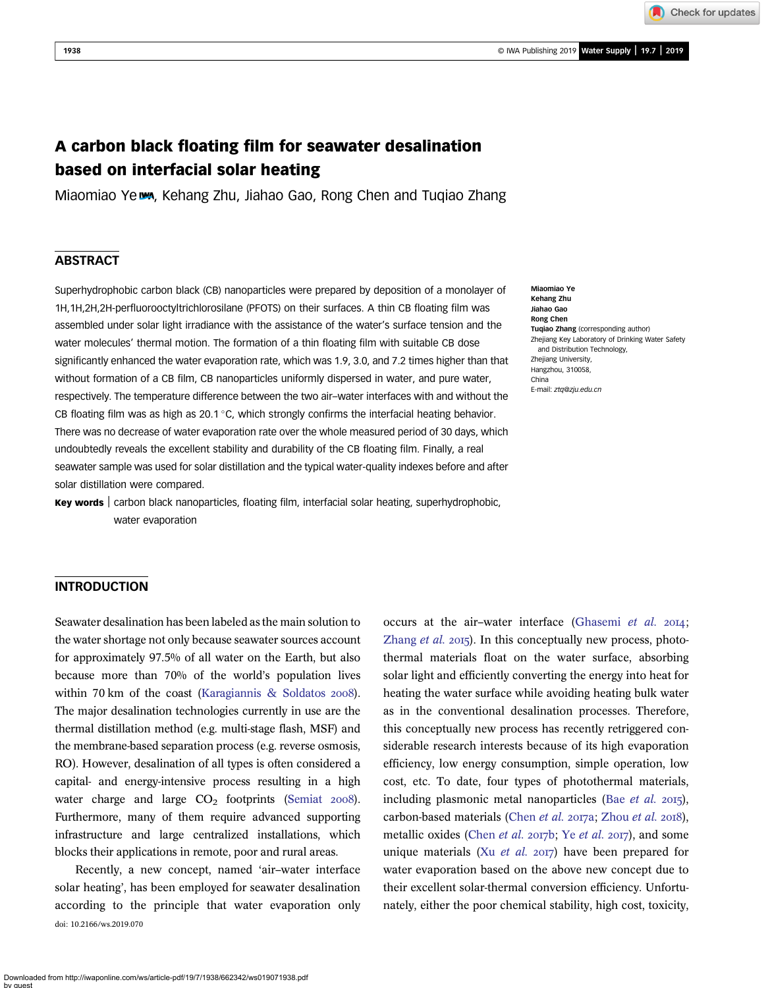Check for updates

# A carbon black floating film for seawater desalination based on interfacial solar heating

Miaomiao Ye **wa**, Kehang Zhu, Jiahao Gao, Rong Chen and Tuqiao Zhang

# **ABSTRACT**

Superhydrophobic carbon black (CB) nanoparticles were prepared by deposition of a monolayer of 1H,1H,2H,2H-perfluorooctyltrichlorosilane (PFOTS) on their surfaces. A thin CB floating film was assembled under solar light irradiance with the assistance of the water's surface tension and the water molecules' thermal motion. The formation of a thin floating film with suitable CB dose significantly enhanced the water evaporation rate, which was 1.9, 3.0, and 7.2 times higher than that without formation of a CB film, CB nanoparticles uniformly dispersed in water, and pure water, respectively. The temperature difference between the two air–water interfaces with and without the CB floating film was as high as 20.1  $\degree$ C, which strongly confirms the interfacial heating behavior. There was no decrease of water evaporation rate over the whole measured period of 30 days, which undoubtedly reveals the excellent stability and durability of the CB floating film. Finally, a real seawater sample was used for solar distillation and the typical water-quality indexes before and after solar distillation were compared.

Key words | carbon black nanoparticles, floating film, interfacial solar heating, superhydrophobic, water evaporation

#### Miaomiao Ye Kehang Zhu Jiahao Gao Rong Chen Tuqiao Zhang (corresponding author) Zhejiang Key Laboratory of Drinking Water Safety and Distribution Technology, Zheijang University, Hangzhou, 310058, China E-mail: [ztq@zju.edu.cn](mailto:ztq@zju.edu.cn)

### INTRODUCTION

Seawater desalination has been labeled as the main solution to the water shortage not only because seawater sources account for approximately 97.5% of all water on the Earth, but also because more than 70% of the world's population lives within 70 km of the coast [\(Karagiannis & Soldatos](#page-6-0)  $2008$ ). The major desalination technologies currently in use are the thermal distillation method (e.g. multi-stage flash, MSF) and the membrane-based separation process (e.g. reverse osmosis, RO). However, desalination of all types is often considered a capital- and energy-intensive process resulting in a high water charge and large  $CO<sub>2</sub>$  footprints ([Semiat](#page-6-0)  $2008$ ). Furthermore, many of them require advanced supporting infrastructure and large centralized installations, which blocks their applications in remote, poor and rural areas.

Recently, a new concept, named 'air–water interface solar heating', has been employed for seawater desalination according to the principle that water evaporation only doi: 10.2166/ws.2019.070

occurs at the air-water interface [\(Ghasemi](#page-6-0) et al.  $2014$ ; [Zhang](#page-6-0) *et al.* 2015). In this conceptually new process, photothermal materials float on the water surface, absorbing solar light and efficiently converting the energy into heat for heating the water surface while avoiding heating bulk water as in the conventional desalination processes. Therefore, this conceptually new process has recently retriggered considerable research interests because of its high evaporation efficiency, low energy consumption, simple operation, low cost, etc. To date, four types of photothermal materials, including plasmonic metal nanoparticles (Bae [et al.](#page-6-0)  $2015$ ), carbon-based materials ([Chen](#page-6-0) et al. 2017a; [Zhou](#page-6-0) et al. 2018), metallic oxides ([Chen](#page-6-0) [et al.](#page-6-0) 2017b; Ye et al. 2017), and some unique materials (Xu *[et al.](#page-6-0)* 2017) have been prepared for water evaporation based on the above new concept due to their excellent solar-thermal conversion efficiency. Unfortunately, either the poor chemical stability, high cost, toxicity,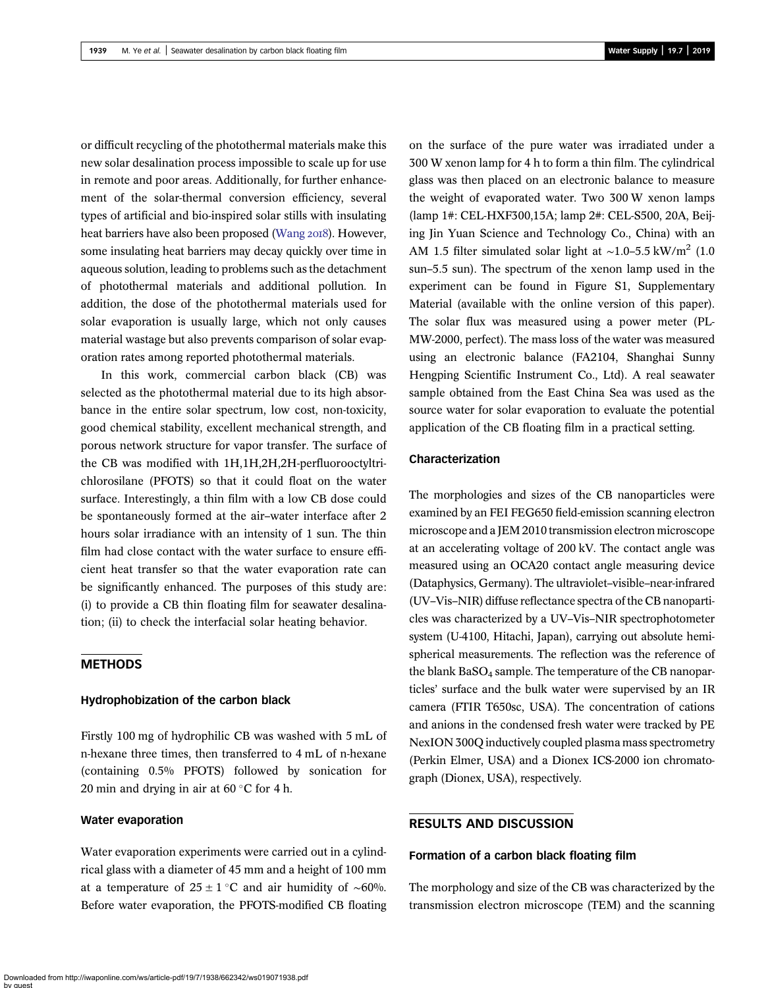or difficult recycling of the photothermal materials make this new solar desalination process impossible to scale up for use in remote and poor areas. Additionally, for further enhancement of the solar-thermal conversion efficiency, several types of artificial and bio-inspired solar stills with insulating heat barriers have also been proposed [\(Wang](#page-6-0) 2018). However, some insulating heat barriers may decay quickly over time in aqueous solution, leading to problems such as the detachment of photothermal materials and additional pollution. In addition, the dose of the photothermal materials used for solar evaporation is usually large, which not only causes material wastage but also prevents comparison of solar evaporation rates among reported photothermal materials.

In this work, commercial carbon black (CB) was selected as the photothermal material due to its high absorbance in the entire solar spectrum, low cost, non-toxicity, good chemical stability, excellent mechanical strength, and porous network structure for vapor transfer. The surface of the CB was modified with 1H,1H,2H,2H-perfluorooctyltrichlorosilane (PFOTS) so that it could float on the water surface. Interestingly, a thin film with a low CB dose could be spontaneously formed at the air–water interface after 2 hours solar irradiance with an intensity of 1 sun. The thin film had close contact with the water surface to ensure efficient heat transfer so that the water evaporation rate can be significantly enhanced. The purposes of this study are: (i) to provide a CB thin floating film for seawater desalination; (ii) to check the interfacial solar heating behavior.

### METHODS

#### Hydrophobization of the carbon black

Firstly 100 mg of hydrophilic CB was washed with 5 mL of n-hexane three times, then transferred to 4 mL of n-hexane (containing 0.5% PFOTS) followed by sonication for 20 min and drying in air at  $60^{\circ}$ C for 4 h.

#### Water evaporation

Water evaporation experiments were carried out in a cylindrical glass with a diameter of 45 mm and a height of 100 mm at a temperature of  $25 \pm 1$  °C and air humidity of ~60%. Before water evaporation, the PFOTS-modified CB floating

on the surface of the pure water was irradiated under a 300 W xenon lamp for 4 h to form a thin film. The cylindrical glass was then placed on an electronic balance to measure the weight of evaporated water. Two 300 W xenon lamps (lamp 1#: CEL-HXF300,15A; lamp 2#: CEL-S500, 20A, Beijing Jin Yuan Science and Technology Co., China) with an AM 1.5 filter simulated solar light at ~1.0–5.5 kW/m<sup>2</sup> (1.0) sun–5.5 sun). The spectrum of the xenon lamp used in the experiment can be found in Figure S1, Supplementary Material (available with the online version of this paper). The solar flux was measured using a power meter (PL-MW-2000, perfect). The mass loss of the water was measured using an electronic balance (FA2104, Shanghai Sunny Hengping Scientific Instrument Co., Ltd). A real seawater sample obtained from the East China Sea was used as the source water for solar evaporation to evaluate the potential application of the CB floating film in a practical setting.

# Characterization

The morphologies and sizes of the CB nanoparticles were examined by an FEI FEG650 field-emission scanning electron microscope and a JEM 2010 transmission electron microscope at an accelerating voltage of 200 kV. The contact angle was measured using an OCA20 contact angle measuring device (Dataphysics, Germany). The ultraviolet–visible–near-infrared (UV–Vis–NIR) diffuse reflectance spectra of the CB nanoparticles was characterized by a UV–Vis–NIR spectrophotometer system (U-4100, Hitachi, Japan), carrying out absolute hemispherical measurements. The reflection was the reference of the blank  $BaSO<sub>4</sub>$  sample. The temperature of the CB nanoparticles' surface and the bulk water were supervised by an IR camera (FTIR T650sc, USA). The concentration of cations and anions in the condensed fresh water were tracked by PE NexION 300Q inductively coupled plasma mass spectrometry (Perkin Elmer, USA) and a Dionex ICS-2000 ion chromatograph (Dionex, USA), respectively.

# RESULTS AND DISCUSSION

#### Formation of a carbon black floating film

The morphology and size of the CB was characterized by the transmission electron microscope (TEM) and the scanning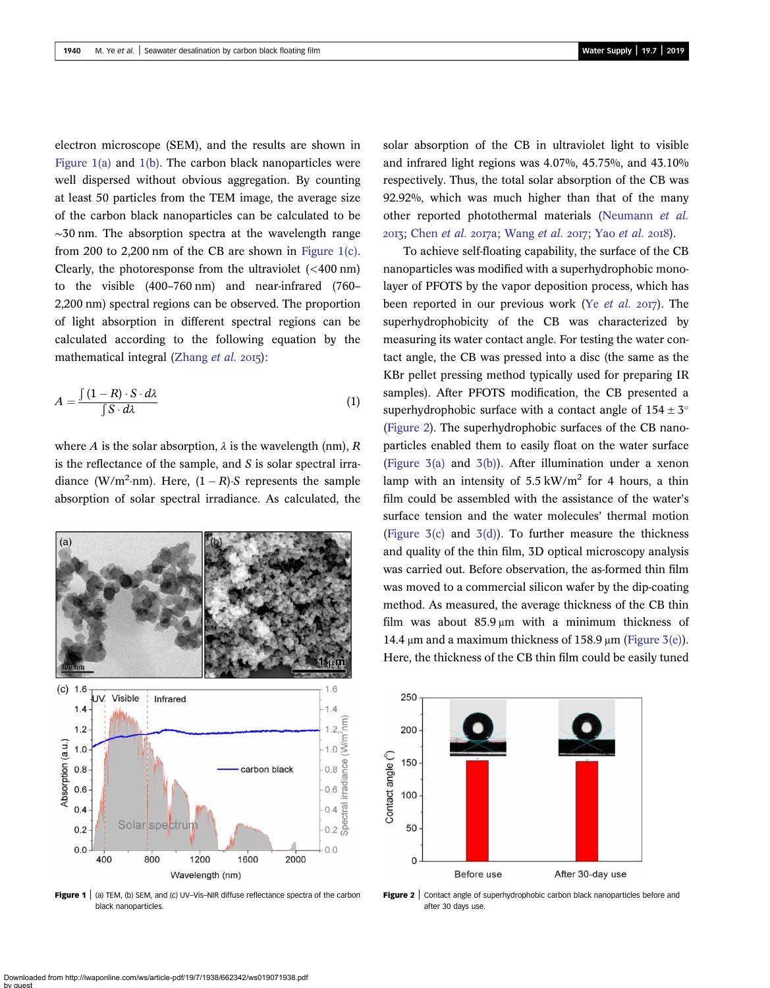<span id="page-2-0"></span>electron microscope (SEM), and the results are shown in Figure 1(a) and 1(b). The carbon black nanoparticles were well dispersed without obvious aggregation. By counting at least 50 particles from the TEM image, the average size of the carbon black nanoparticles can be calculated to be ∼30 nm. The absorption spectra at the wavelength range from 200 to 2,200 nm of the CB are shown in Figure 1(c). Clearly, the photoresponse from the ultraviolet (<400 nm) to the visible (400–760 nm) and near-infrared (760– 2,200 nm) spectral regions can be observed. The proportion of light absorption in different spectral regions can be calculated according to the following equation by the mathematical integral [\(Zhang](#page-6-0) *et al.* 2015):

$$
A = \frac{\int (1 - R) \cdot S \cdot d\lambda}{\int S \cdot d\lambda} \tag{1}
$$

where A is the solar absorption,  $\lambda$  is the wavelength (nm), R is the reflectance of the sample, and S is solar spectral irradiance (W/m<sup>2</sup>·nm). Here,  $(1 - R)$ ·S represents the sample absorption of solar spectral irradiance. As calculated, the



**Figure 1** (a) TEM, (b) SEM, and (c) UV–Vis–NIR diffuse reflectance spectra of the carbon black nanoparticles.

solar absorption of the CB in ultraviolet light to visible and infrared light regions was 4.07%, 45.75%, and 43.10% respectively. Thus, the total solar absorption of the CB was 92.92%, which was much higher than that of the many other reported photothermal materials ([Neumann](#page-6-0) et al. 2013; [Chen](#page-6-0) et al. 2017a; [Wang](#page-6-0) [et al.](#page-6-0) 2017; Yao et al. 2018).

To achieve self-floating capability, the surface of the CB nanoparticles was modified with a superhydrophobic monolayer of PFOTS by the vapor deposition process, which has been reported in our previous work (Ye [et al.](#page-6-0)  $2017$ ). The superhydrophobicity of the CB was characterized by measuring its water contact angle. For testing the water contact angle, the CB was pressed into a disc (the same as the KBr pellet pressing method typically used for preparing IR samples). After PFOTS modification, the CB presented a superhydrophobic surface with a contact angle of  $154 \pm 3^{\circ}$ (Figure 2). The superhydrophobic surfaces of the CB nanoparticles enabled them to easily float on the water surface ([Figure 3\(a\)](#page-3-0) and [3\(b\)](#page-3-0)). After illumination under a xenon lamp with an intensity of  $5.5 \text{ kW/m}^2$  for 4 hours, a thin film could be assembled with the assistance of the water's surface tension and the water molecules' thermal motion (Figure  $3(c)$  and  $3(d)$ ). To further measure the thickness and quality of the thin film, 3D optical microscopy analysis was carried out. Before observation, the as-formed thin film was moved to a commercial silicon wafer by the dip-coating method. As measured, the average thickness of the CB thin film was about  $85.9 \mu m$  with a minimum thickness of 14.4 μm and a maximum thickness of 158.9 μm ([Figure 3\(e\)](#page-3-0)). Here, the thickness of the CB thin film could be easily tuned



**Figure 2** | Contact angle of superhydrophobic carbon black nanoparticles before and after 30 days use.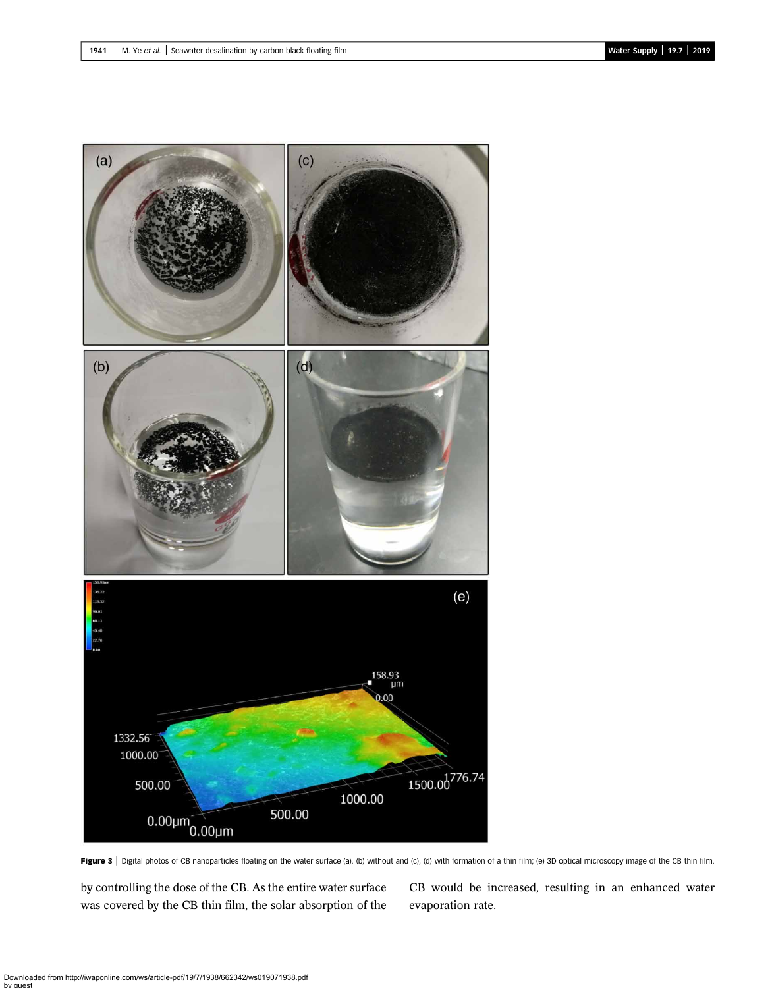<span id="page-3-0"></span>

Figure 3 | Digital photos of CB nanoparticles floating on the water surface (a), (b) without and (c), (d) with formation of a thin film; (e) 3D optical microscopy image of the CB thin film.

by controlling the dose of the CB. As the entire water surface was covered by the CB thin film, the solar absorption of the

CB would be increased, resulting in an enhanced water evaporation rate.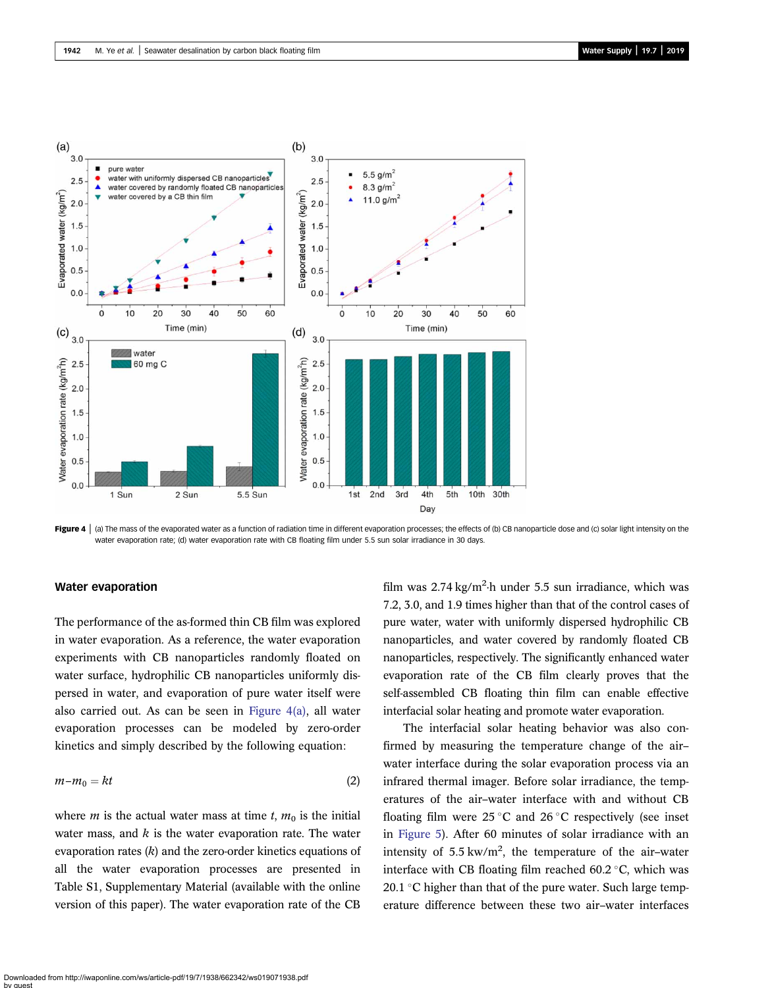<span id="page-4-0"></span>

Figure 4  $\,$   $\,$  (a) The mass of the evaporated water as a function of radiation time in different evaporation processes; the effects of (b) CB nanoparticle dose and (c) solar light intensity on the water evaporation rate; (d) water evaporation rate with CB floating film under 5.5 sun solar irradiance in 30 days.

#### Water evaporation

The performance of the as-formed thin CB film was explored in water evaporation. As a reference, the water evaporation experiments with CB nanoparticles randomly floated on water surface, hydrophilic CB nanoparticles uniformly dispersed in water, and evaporation of pure water itself were also carried out. As can be seen in Figure 4(a), all water evaporation processes can be modeled by zero-order kinetics and simply described by the following equation:

$$
m - m_0 = kt \tag{2}
$$

where *m* is the actual water mass at time *t*,  $m_0$  is the initial water mass, and  $k$  is the water evaporation rate. The water evaporation rates  $(k)$  and the zero-order kinetics equations of all the water evaporation processes are presented in Table S1, Supplementary Material (available with the online version of this paper). The water evaporation rate of the CB

film was 2.74 kg/m<sup>2</sup>·h under 5.5 sun irradiance, which was 7.2, 3.0, and 1.9 times higher than that of the control cases of pure water, water with uniformly dispersed hydrophilic CB nanoparticles, and water covered by randomly floated CB nanoparticles, respectively. The significantly enhanced water evaporation rate of the CB film clearly proves that the self-assembled CB floating thin film can enable effective interfacial solar heating and promote water evaporation.

The interfacial solar heating behavior was also confirmed by measuring the temperature change of the air– water interface during the solar evaporation process via an infrared thermal imager. Before solar irradiance, the temperatures of the air–water interface with and without CB floating film were  $25^{\circ}$ C and  $26^{\circ}$ C respectively (see inset in [Figure 5\)](#page-5-0). After 60 minutes of solar irradiance with an intensity of  $5.5 \text{ kW/m}^2$ , the temperature of the air-water interface with CB floating film reached  $60.2 \degree C$ , which was 20.1  $\degree$ C higher than that of the pure water. Such large temperature difference between these two air–water interfaces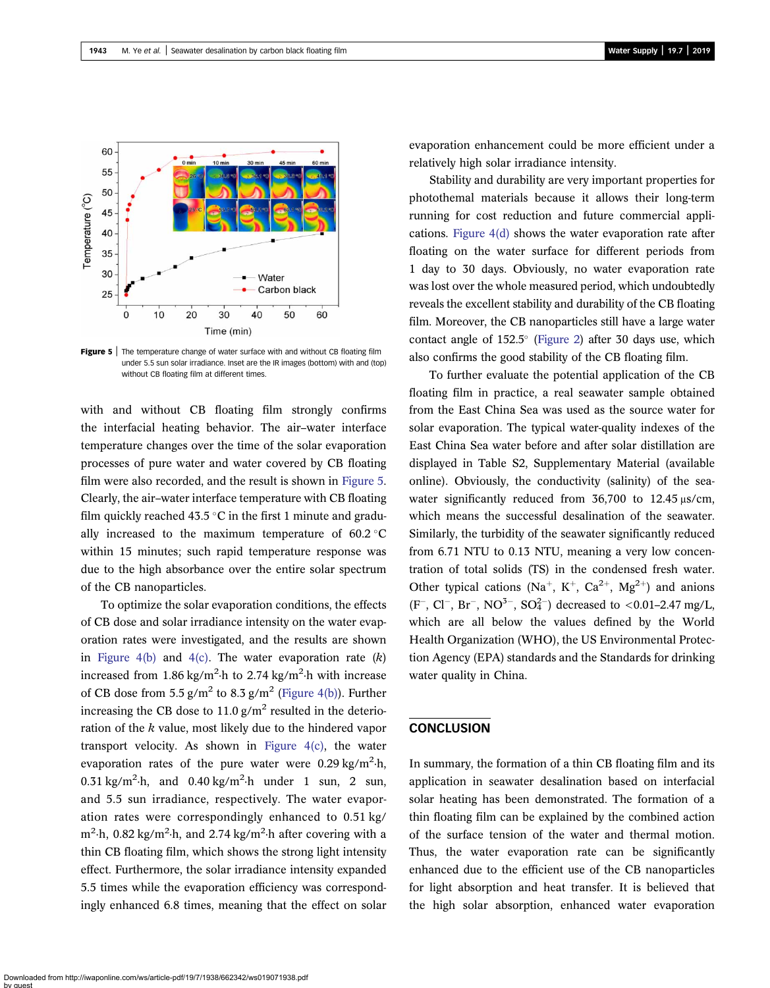<span id="page-5-0"></span>

Figure 5 | The temperature change of water surface with and without CB floating film under 5.5 sun solar irradiance. Inset are the IR images (bottom) with and (top) without CB floating film at different times

with and without CB floating film strongly confirms the interfacial heating behavior. The air–water interface temperature changes over the time of the solar evaporation processes of pure water and water covered by CB floating film were also recorded, and the result is shown in Figure 5. Clearly, the air–water interface temperature with CB floating film quickly reached 43.5 °C in the first 1 minute and gradually increased to the maximum temperature of  $60.2$  °C within 15 minutes; such rapid temperature response was due to the high absorbance over the entire solar spectrum of the CB nanoparticles.

To optimize the solar evaporation conditions, the effects of CB dose and solar irradiance intensity on the water evaporation rates were investigated, and the results are shown in [Figure 4\(b\)](#page-4-0) and [4\(c\)](#page-4-0). The water evaporation rate  $(k)$ increased from  $1.86 \text{ kg/m}^2$  h to  $2.74 \text{ kg/m}^2$  h with increase of CB dose from 5.5  $g/m^2$  to 8.3  $g/m^2$  ([Figure 4\(b\)\)](#page-4-0). Further increasing the CB dose to 11.0  $g/m^2$  resulted in the deterioration of the k value, most likely due to the hindered vapor transport velocity. As shown in [Figure 4\(c\),](#page-4-0) the water evaporation rates of the pure water were  $0.29 \text{ kg/m}^2$ -h, 0.31 kg/m<sup>2</sup> $\cdot$ h, and 0.40 kg/m<sup>2</sup> $\cdot$ h under 1 sun, 2 sun, and 5.5 sun irradiance, respectively. The water evaporation rates were correspondingly enhanced to 0.51 kg/ m<sup>2</sup>·h, 0.82 kg/m<sup>2</sup>·h, and 2.74 kg/m<sup>2</sup>·h after covering with a thin CB floating film, which shows the strong light intensity effect. Furthermore, the solar irradiance intensity expanded 5.5 times while the evaporation efficiency was correspondingly enhanced 6.8 times, meaning that the effect on solar evaporation enhancement could be more efficient under a relatively high solar irradiance intensity.

Stability and durability are very important properties for photothemal materials because it allows their long-term running for cost reduction and future commercial applications. [Figure 4\(d\)](#page-4-0) shows the water evaporation rate after floating on the water surface for different periods from 1 day to 30 days. Obviously, no water evaporation rate was lost over the whole measured period, which undoubtedly reveals the excellent stability and durability of the CB floating film. Moreover, the CB nanoparticles still have a large water contact angle of  $152.5^{\circ}$  ([Figure 2](#page-2-0)) after 30 days use, which also confirms the good stability of the CB floating film.

To further evaluate the potential application of the CB floating film in practice, a real seawater sample obtained from the East China Sea was used as the source water for solar evaporation. The typical water-quality indexes of the East China Sea water before and after solar distillation are displayed in Table S2, Supplementary Material (available online). Obviously, the conductivity (salinity) of the seawater significantly reduced from 36,700 to 12.45 μs/cm, which means the successful desalination of the seawater. Similarly, the turbidity of the seawater significantly reduced from 6.71 NTU to 0.13 NTU, meaning a very low concentration of total solids (TS) in the condensed fresh water. Other typical cations (Na<sup>+</sup>, K<sup>+</sup>, Ca<sup>2+</sup>, Mg<sup>2+</sup>) and anions  $(F^-, Cl^-, Br^-, NO^{3-}, SO_4^{2-})$  decreased to <0.01-2.47 mg/L, which are all below the values defined by the World Health Organization (WHO), the US Environmental Protection Agency (EPA) standards and the Standards for drinking water quality in China.

## **CONCLUSION**

In summary, the formation of a thin CB floating film and its application in seawater desalination based on interfacial solar heating has been demonstrated. The formation of a thin floating film can be explained by the combined action of the surface tension of the water and thermal motion. Thus, the water evaporation rate can be significantly enhanced due to the efficient use of the CB nanoparticles for light absorption and heat transfer. It is believed that the high solar absorption, enhanced water evaporation